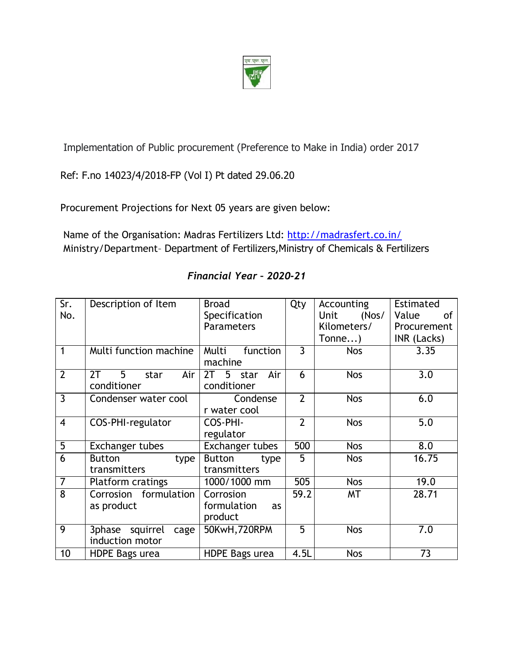

Implementation of Public procurement (Preference to Make in India) order 2017

Ref: F.no 14023/4/2018-FP (Vol I) Pt dated 29.06.20

Procurement Projections for Next 05 years are given below:

Name of the Organisation: Madras Fertilizers Ltd: <http://madrasfert.co.in/> Ministry/Department– Department of Fertilizers,Ministry of Chemicals & Fertilizers

| Sr.<br>No.     | Description of Item                        | <b>Broad</b><br>Specification<br><b>Parameters</b> | Qty            | Accounting<br>(Nos/<br>Unit<br>Kilometers/ | Estimated<br>Value<br>0f<br>Procurement |
|----------------|--------------------------------------------|----------------------------------------------------|----------------|--------------------------------------------|-----------------------------------------|
|                |                                            |                                                    |                | Tonne)                                     | INR (Lacks)                             |
|                | Multi function machine                     | Multi<br>function<br>machine                       | $\overline{3}$ | <b>Nos</b>                                 | 3.35                                    |
| $\overline{2}$ | 2T<br>5<br>Air<br>star<br>conditioner      | 5 star<br>Air<br>2T<br>conditioner                 | 6              | <b>Nos</b>                                 | $\overline{3.0}$                        |
| $\overline{3}$ | Condenser water cool                       | Condense<br>r water cool                           | $\overline{2}$ | <b>Nos</b>                                 | 6.0                                     |
| $\overline{4}$ | COS-PHI-regulator                          | COS-PHI-<br>regulator                              | $\overline{2}$ | <b>Nos</b>                                 | 5.0                                     |
| $\overline{5}$ | Exchanger tubes                            | <b>Exchanger tubes</b>                             | 500            | <b>Nos</b>                                 | 8.0                                     |
| 6              | <b>Button</b><br>type<br>transmitters      | <b>Button</b><br>type<br>transmitters              | 5              | <b>Nos</b>                                 | 16.75                                   |
| $\overline{7}$ | Platform cratings                          | 1000/1000 mm                                       | 505            | <b>Nos</b>                                 | 19.0                                    |
| $\overline{8}$ | Corrosion formulation<br>as product        | Corrosion<br>formulation<br>as<br>product          | 59.2           | MT                                         | 28.71                                   |
| $\overline{9}$ | 3phase squirrel<br>cage<br>induction motor | 50KwH, 720RPM                                      | 5              | <b>Nos</b>                                 | 7.0                                     |
| 10             | <b>HDPE Bags urea</b>                      | <b>HDPE Bags urea</b>                              | 4.5L           | <b>Nos</b>                                 | $\overline{73}$                         |

## *Financial Year – 2020-21*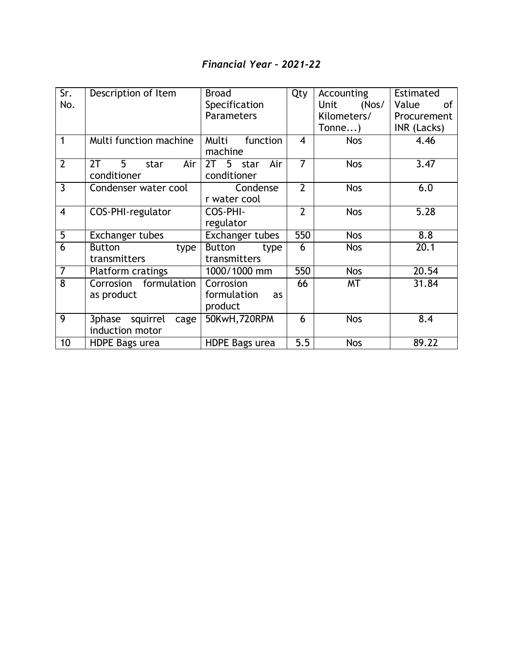# *Financial Year – 2021-22*

| Sr.            | Description of Item        | <b>Broad</b>                   | Qty            | Accounting           | Estimated          |
|----------------|----------------------------|--------------------------------|----------------|----------------------|--------------------|
| No.            |                            | Specification                  |                | <b>Unit</b><br>(Nos/ | Value<br><b>of</b> |
|                |                            | <b>Parameters</b>              |                | Kilometers/          | Procurement        |
|                |                            |                                |                | Tonne)               | INR (Lacks)        |
| 1              | Multi function machine     | Multi<br>function<br>machine   | $\overline{4}$ | <b>Nos</b>           | 4.46               |
| $\overline{2}$ | 2T<br>5<br>Air<br>star     | 2T <sub>5</sub><br>Air<br>star | $\overline{7}$ | <b>Nos</b>           | 3.47               |
|                | conditioner                | conditioner                    |                |                      |                    |
| $\overline{3}$ | Condenser water cool       | Condense                       | $\overline{2}$ | <b>Nos</b>           | 6.0                |
|                |                            | r water cool                   |                |                      |                    |
| $\overline{4}$ | COS-PHI-regulator          | COS-PHI-                       | $\overline{2}$ | <b>Nos</b>           | 5.28               |
|                |                            | regulator                      |                |                      |                    |
| $\overline{5}$ | Exchanger tubes            | Exchanger tubes                | 550            | <b>Nos</b>           | 8.8                |
| $\overline{6}$ | <b>Button</b><br>type      | <b>Button</b><br>type          | 6              | <b>Nos</b>           | 20.1               |
|                | transmitters               | transmitters                   |                |                      |                    |
| $\overline{7}$ | <b>Platform cratings</b>   | 1000/1000 mm                   | 550            | <b>Nos</b>           | 20.54              |
| $\overline{8}$ | formulation<br>Corrosion   | Corrosion                      | 66             | MT                   | 31.84              |
|                | as product                 | formulation<br>as              |                |                      |                    |
|                |                            | product                        |                |                      |                    |
| 9              | 3phase<br>squirrel<br>cage | 50KwH, 720RPM                  | 6              | <b>Nos</b>           | 8.4                |
|                | induction motor            |                                |                |                      |                    |
| 10             | HDPE Bags urea             | <b>HDPE Bags urea</b>          | 5.5            | <b>Nos</b>           | 89.22              |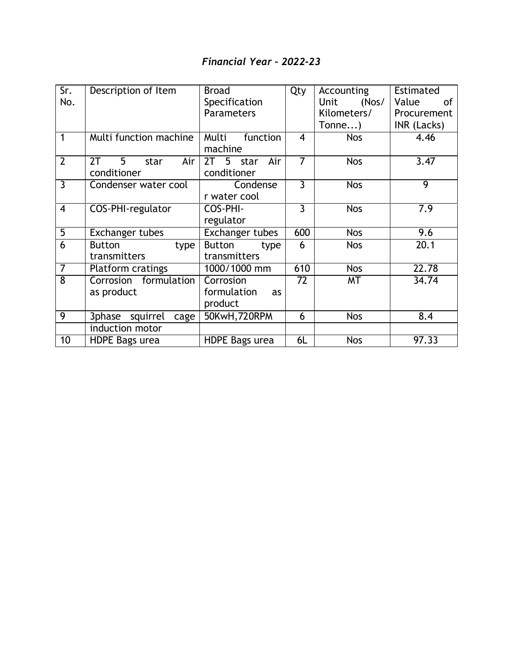## *Financial Year – 2022-23*

| Sr.            | Description of Item                             | <b>Broad</b>                              | Qty            | Accounting    | Estimated          |
|----------------|-------------------------------------------------|-------------------------------------------|----------------|---------------|--------------------|
| No.            |                                                 | Specification                             |                | Unit<br>(Nos/ | Value<br><b>of</b> |
|                |                                                 | Parameters                                |                | Kilometers/   | Procurement        |
|                |                                                 |                                           |                | $Tonne$ )     | INR (Lacks)        |
| 1              | Multi function machine                          | Multi<br>function<br>machine              | $\overline{4}$ | <b>Nos</b>    | 4.46               |
| $\overline{2}$ | $5^{\circ}$<br>2T<br>Air<br>star<br>conditioner | 5 star<br>2T<br>Air<br>conditioner        | $\overline{7}$ | <b>Nos</b>    | 3.47               |
| $\overline{3}$ | Condenser water cool                            | Condense<br>r water cool                  | $\overline{3}$ | <b>Nos</b>    | $\overline{9}$     |
| $\overline{4}$ | COS-PHI-regulator                               | COS-PHI-<br>regulator                     | $\overline{3}$ | <b>Nos</b>    | 7.9                |
| $\overline{5}$ | <b>Exchanger tubes</b>                          | Exchanger tubes                           | 600            | <b>Nos</b>    | 9.6                |
| 6              | <b>Button</b><br>type<br>transmitters           | <b>Button</b><br>type<br>transmitters     | 6              | <b>Nos</b>    | 20.1               |
| $\overline{7}$ | <b>Platform cratings</b>                        | 1000/1000 mm                              | 610            | <b>Nos</b>    | 22.78              |
| $\overline{8}$ | Corrosion formulation<br>as product             | Corrosion<br>formulation<br>as<br>product | 72             | MT            | 34.74              |
| 9              | squirrel<br>3phase<br>cage                      | 50KwH, 720RPM                             | 6              | <b>Nos</b>    | 8.4                |
|                | induction motor                                 |                                           |                |               |                    |
| 10             | HDPE Bags urea                                  | HDPE Bags urea                            | 6L             | <b>Nos</b>    | 97.33              |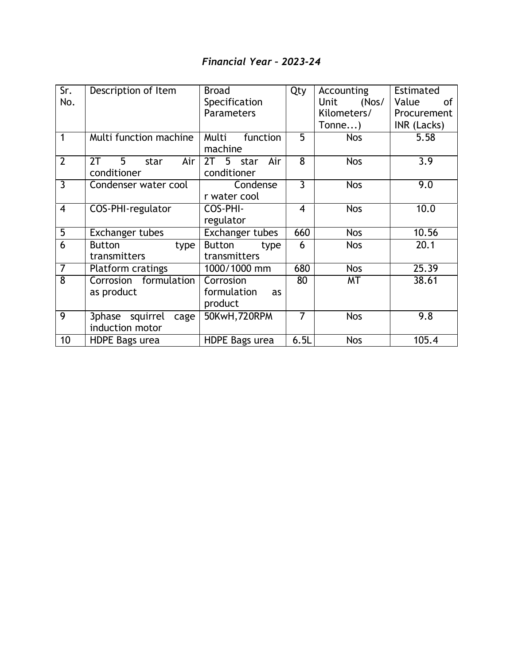## *Financial Year – 2023-24*

| Sr.            |                                  |                        |                |               |             |
|----------------|----------------------------------|------------------------|----------------|---------------|-------------|
|                | Description of Item              | <b>Broad</b>           | Qty            | Accounting    | Estimated   |
| No.            |                                  | Specification          |                | (Nos/<br>Unit | Value<br>of |
|                |                                  | <b>Parameters</b>      |                | Kilometers/   | Procurement |
|                |                                  |                        |                | Tonne)        | INR (Lacks) |
| 1              | Multi function machine           | Multi<br>function      | 5              | <b>Nos</b>    | 5.58        |
|                |                                  | machine                |                |               |             |
| $\overline{2}$ | 2T<br>$5^{\circ}$<br>Air<br>star | 2T<br>5<br>Air<br>star | 8              | <b>Nos</b>    | 3.9         |
|                | conditioner                      | conditioner            |                |               |             |
| $\overline{3}$ | Condenser water cool             | Condense               | $\overline{3}$ | <b>Nos</b>    | 9.0         |
|                |                                  | r water cool           |                |               |             |
| $\overline{4}$ | COS-PHI-regulator                | COS-PHI-               | $\overline{4}$ | <b>Nos</b>    | 10.0        |
|                |                                  | regulator              |                |               |             |
| $\overline{5}$ | <b>Exchanger tubes</b>           | Exchanger tubes        | 660            | <b>Nos</b>    | 10.56       |
| 6              | <b>Button</b><br>type            | <b>Button</b><br>type  | 6              | <b>Nos</b>    | 20.1        |
|                | transmitters                     | transmitters           |                |               |             |
| $\overline{7}$ | Platform cratings                | 1000/1000 mm           | 680            | <b>Nos</b>    | 25.39       |
| $\overline{8}$ | Corrosion formulation            | Corrosion              | 80             | MT            | 38.61       |
|                | as product                       | formulation<br>as      |                |               |             |
|                |                                  | product                |                |               |             |
| 9              | 3phase squirrel<br>cage          | 50KwH, 720RPM          | 7              | <b>Nos</b>    | 9.8         |
|                | induction motor                  |                        |                |               |             |
| 10             | <b>HDPE Bags urea</b>            | HDPE Bags urea         | 6.5L           | <b>Nos</b>    | 105.4       |